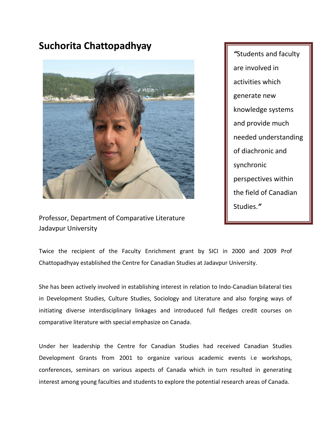## **Suchorita Chattopadhyay**



*"*Students and faculty are involved in activities which generate new knowledge systems and provide much needed understanding of diachronic and synchronic perspectives within the field of Canadian Studies.*"* 

Professor, Department of Comparative Literature Jadavpur University

Twice the recipient of the Faculty Enrichment grant by SICI in 2000 and 2009 Prof Chattopadhyay established the Centre for Canadian Studies at Jadavpur University.

She has been actively involved in establishing interest in relation to Indo-Canadian bilateral ties in Development Studies, Culture Studies, Sociology and Literature and also forging ways of initiating diverse interdisciplinary linkages and introduced full fledges credit courses on comparative literature with special emphasize on Canada.

Under her leadership the Centre for Canadian Studies had received Canadian Studies Development Grants from 2001 to organize various academic events i.e workshops, conferences, seminars on various aspects of Canada which in turn resulted in generating interest among young faculties and students to explore the potential research areas of Canada.